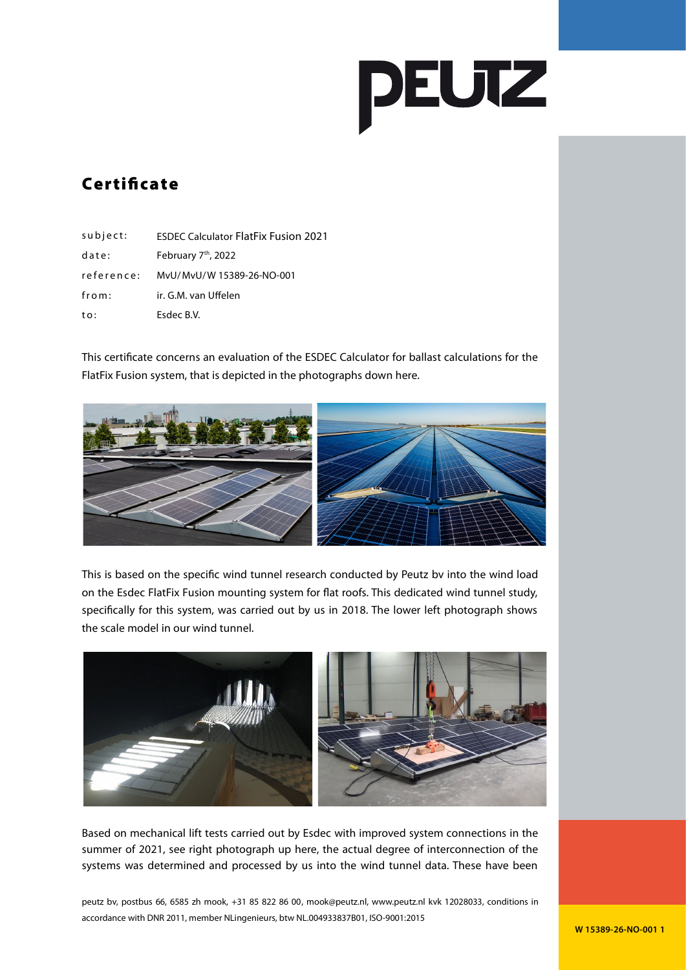

## **Certificate**

| $subject$ : | <b>ESDEC Calculator FlatFix Fusion 2021</b> |
|-------------|---------------------------------------------|
| date:       | February 7 <sup>th</sup> , 2022             |
| reference:  | MyU/MyU/W 15389-26-NO-001                   |
| from:       | ir. G.M. van Uffelen                        |
| to:         | Esdec B.V.                                  |

This certificate concerns an evaluation of the ESDEC Calculator for ballast calculations for the FlatFix Fusion system, that is depicted in the photographs down here.



This is based on the specific wind tunnel research conducted by Peutz bv into the wind load on the Esdec FlatFix Fusion mounting system for flat roofs. This dedicated wind tunnel study, specifically for this system, was carried out by us in 2018. The lower left photograph shows the scale model in our wind tunnel.



Based on mechanical lift tests carried out by Esdec with improved system connections in the summer of 2021, see right photograph up here, the actual degree of interconnection of the systems was determined and processed by us into the wind tunnel data. These have been

peutz bv, postbus 66, 6585 zh mook, +31 85 822 86 00, mook@peutz.nl, www.peutz.nl kvk 12028033, conditions in accordance with DNR 2011, member NLingenieurs, btw NL.004933837B01, ISO-9001:2015